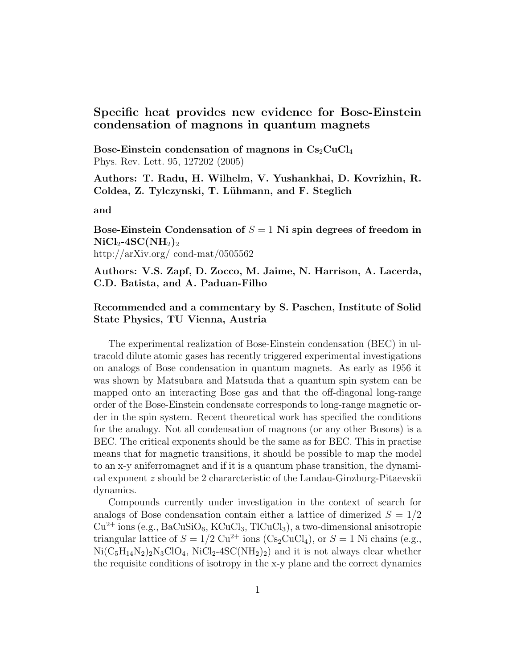## Specific heat provides new evidence for Bose-Einstein condensation of magnons in quantum magnets

Bose-Einstein condensation of magnons in  $Cs<sub>2</sub>CuCl<sub>4</sub>$ Phys. Rev. Lett. 95, 127202 (2005)

Authors: T. Radu, H. Wilhelm, V. Yushankhai, D. Kovrizhin, R. Coldea, Z. Tylczynski, T. Lühmann, and F. Steglich

and

Bose-Einstein Condensation of  $S = 1$  Ni spin degrees of freedom in  $\rm NiCl_{2}$ -4SC(NH<sub>2</sub>)<sub>2</sub> http://arXiv.org/ cond-mat/0505562

Authors: V.S. Zapf, D. Zocco, M. Jaime, N. Harrison, A. Lacerda, C.D. Batista, and A. Paduan-Filho

## Recommended and a commentary by S. Paschen, Institute of Solid State Physics, TU Vienna, Austria

The experimental realization of Bose-Einstein condensation (BEC) in ultracold dilute atomic gases has recently triggered experimental investigations on analogs of Bose condensation in quantum magnets. As early as 1956 it was shown by Matsubara and Matsuda that a quantum spin system can be mapped onto an interacting Bose gas and that the off-diagonal long-range order of the Bose-Einstein condensate corresponds to long-range magnetic order in the spin system. Recent theoretical work has specified the conditions for the analogy. Not all condensation of magnons (or any other Bosons) is a BEC. The critical exponents should be the same as for BEC. This in practise means that for magnetic transitions, it should be possible to map the model to an x-y aniferromagnet and if it is a quantum phase transition, the dynamical exponent z should be 2 chararcteristic of the Landau-Ginzburg-Pitaevskii dynamics.

Compounds currently under investigation in the context of search for analogs of Bose condensation contain either a lattice of dimerized  $S = 1/2$  $Cu^{2+}$  ions (e.g., BaCuSiO<sub>6</sub>, KCuCl<sub>3</sub>, TlCuCl<sub>3</sub>), a two-dimensional anisotropic triangular lattice of  $S = 1/2 \text{ Cu}^{2+}$  ions (Cs<sub>2</sub>CuCl<sub>4</sub>), or  $S = 1$  Ni chains (e.g.,  $Ni(C_5H_{14}N_2)_2N_3ClO_4$ ,  $NiCl_2-4SC(NH_2)_2$  and it is not always clear whether the requisite conditions of isotropy in the x-y plane and the correct dynamics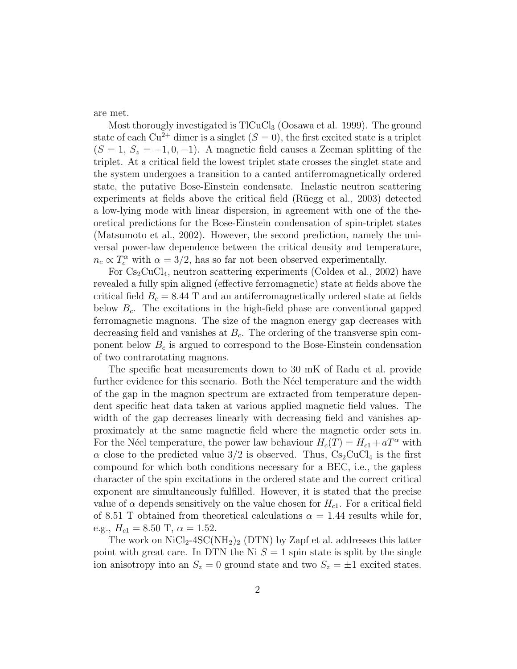are met.

Most thorougly investigated is  $TICuCl<sub>3</sub>$  (Oosawa et al. 1999). The ground state of each  $Cu^{2+}$  dimer is a singlet  $(S = 0)$ , the first excited state is a triplet  $(S = 1, S_z = +1, 0, -1)$ . A magnetic field causes a Zeeman splitting of the triplet. At a critical field the lowest triplet state crosses the singlet state and the system undergoes a transition to a canted antiferromagnetically ordered state, the putative Bose-Einstein condensate. Inelastic neutron scattering experiments at fields above the critical field (Rüegg et al., 2003) detected a low-lying mode with linear dispersion, in agreement with one of the theoretical predictions for the Bose-Einstein condensation of spin-triplet states (Matsumoto et al., 2002). However, the second prediction, namely the universal power-law dependence between the critical density and temperature,  $n_c \propto T_c^{\alpha}$  with  $\alpha = 3/2$ , has so far not been observed experimentally.

For  $Cs_2CuCl_4$ , neutron scattering experiments (Coldea et al., 2002) have revealed a fully spin aligned (effective ferromagnetic) state at fields above the critical field  $B_c = 8.44$  T and an antiferromagnetically ordered state at fields below  $B_c$ . The excitations in the high-field phase are conventional gapped ferromagnetic magnons. The size of the magnon energy gap decreases with decreasing field and vanishes at  $B<sub>c</sub>$ . The ordering of the transverse spin component below  $B<sub>c</sub>$  is argued to correspond to the Bose-Einstein condensation of two contrarotating magnons.

The specific heat measurements down to 30 mK of Radu et al. provide further evidence for this scenario. Both the N'eel temperature and the width of the gap in the magnon spectrum are extracted from temperature dependent specific heat data taken at various applied magnetic field values. The width of the gap decreases linearly with decreasing field and vanishes approximately at the same magnetic field where the magnetic order sets in. For the Néel temperature, the power law behaviour  $H_c(T) = H_{c1} + aT^{\alpha}$  with  $\alpha$  close to the predicted value 3/2 is observed. Thus, Cs<sub>2</sub>CuCl<sub>4</sub> is the first compound for which both conditions necessary for a BEC, i.e., the gapless character of the spin excitations in the ordered state and the correct critical exponent are simultaneously fulfilled. However, it is stated that the precise value of  $\alpha$  depends sensitively on the value chosen for  $H_{c1}$ . For a critical field of 8.51 T obtained from theoretical calculations  $\alpha = 1.44$  results while for, e.g.,  $H_{c1} = 8.50$  T,  $\alpha = 1.52$ .

The work on  $NiCl<sub>2</sub>-4SC(NH<sub>2</sub>)<sub>2</sub>$  (DTN) by Zapf et al. addresses this latter point with great care. In DTN the Ni  $S = 1$  spin state is split by the single ion anisotropy into an  $S_z = 0$  ground state and two  $S_z = \pm 1$  excited states.